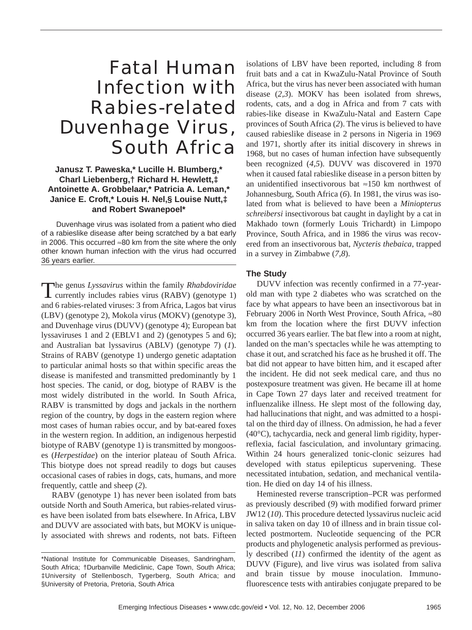# Fatal Human Infection with Rabies-related Duvenhage Virus, South Africa

## **Janusz T. Paweska,\* Lucille H. Blumberg,\* Charl Liebenberg,† Richard H. Hewlett,‡ Antoinette A. Grobbelaar,\* Patricia A. Leman,\* Janice E. Croft,\* Louis H. Nel,§ Louise Nutt,‡ and Robert Swanepoel\***

Duvenhage virus was isolated from a patient who died of a rabieslike disease after being scratched by a bat early in 2006. This occurred ≈80 km from the site where the only other known human infection with the virus had occurred 36 years earlier.

The genus *Lyssavirus* within the family *Rhabdoviridae* currently includes rabies virus (RABV) (genotype 1) and 6 rabies-related viruses: 3 from Africa, Lagos bat virus (LBV) (genotype 2), Mokola virus (MOKV) (genotype 3), and Duvenhage virus (DUVV) (genotype 4); European bat lyssaviruses 1 and 2 (EBLV1 and 2) (genotypes 5 and 6); and Australian bat lyssavirus (ABLV) (genotype 7) (*1*). Strains of RABV (genotype 1) undergo genetic adaptation to particular animal hosts so that within specific areas the disease is manifested and transmitted predominantly by 1 host species. The canid, or dog, biotype of RABV is the most widely distributed in the world. In South Africa, RABV is transmitted by dogs and jackals in the northern region of the country, by dogs in the eastern region where most cases of human rabies occur, and by bat-eared foxes in the western region. In addition, an indigenous herpestid biotype of RABV (genotype 1) is transmitted by mongooses (*Herpestidae*) on the interior plateau of South Africa. This biotype does not spread readily to dogs but causes occasional cases of rabies in dogs, cats, humans, and more frequently, cattle and sheep (*2*).

RABV (genotype 1) has never been isolated from bats outside North and South America, but rabies-related viruses have been isolated from bats elsewhere. In Africa, LBV and DUVV are associated with bats, but MOKV is uniquely associated with shrews and rodents, not bats. Fifteen

isolations of LBV have been reported, including 8 from fruit bats and a cat in KwaZulu-Natal Province of South Africa, but the virus has never been associated with human disease (*2*,*3*). MOKV has been isolated from shrews, rodents, cats, and a dog in Africa and from 7 cats with rabies-like disease in KwaZulu-Natal and Eastern Cape provinces of South Africa (*2*). The virus is believed to have caused rabieslike disease in 2 persons in Nigeria in 1969 and 1971, shortly after its initial discovery in shrews in 1968, but no cases of human infection have subsequently been recognized (*4*,*5*). DUVV was discovered in 1970 when it caused fatal rabieslike disease in a person bitten by an unidentified insectivorous bat ≈150 km northwest of Johannesburg, South Africa (*6*). In 1981, the virus was isolated from what is believed to have been a *Miniopterus schreibersi* insectivorous bat caught in daylight by a cat in Makhado town (formerly Louis Trichardt) in Limpopo Province, South Africa, and in 1986 the virus was recovered from an insectivorous bat, *Nycteris thebaica*, trapped in a survey in Zimbabwe (*7,8*).

## **The Study**

DUVV infection was recently confirmed in a 77-yearold man with type 2 diabetes who was scratched on the face by what appears to have been an insectivorous bat in February 2006 in North West Province, South Africa, ≈80 km from the location where the first DUVV infection occurred 36 years earlier. The bat flew into a room at night, landed on the man's spectacles while he was attempting to chase it out, and scratched his face as he brushed it off. The bat did not appear to have bitten him, and it escaped after the incident. He did not seek medical care, and thus no postexposure treatment was given. He became ill at home in Cape Town 27 days later and received treatment for influenzalike illness. He slept most of the following day, had hallucinations that night, and was admitted to a hospital on the third day of illness. On admission, he had a fever (40°C), tachycardia, neck and general limb rigidity, hyperreflexia, facial fasciculation, and involuntary grimacing. Within 24 hours generalized tonic-clonic seizures had developed with status epilepticus supervening. These necessitated intubation, sedation, and mechanical ventilation. He died on day 14 of his illness.

Heminested reverse transcription–PCR was performed as previously described (*9*) with modified forward primer JW12 (*10*). This procedure detected lyssavirus nucleic acid in saliva taken on day 10 of illness and in brain tissue collected postmortem. Nucleotide sequencing of the PCR products and phylogenetic analysis performed as previously described (*11*) confirmed the identity of the agent as DUVV (Figure), and live virus was isolated from saliva and brain tissue by mouse inoculation. Immunofluorescence tests with antirabies conjugate prepared to be

<sup>\*</sup>National Institute for Communicable Diseases, Sandringham, South Africa; †Durbanville Mediclinic, Cape Town, South Africa; ‡University of Stellenbosch, Tygerberg, South Africa; and §University of Pretoria, Pretoria, South Africa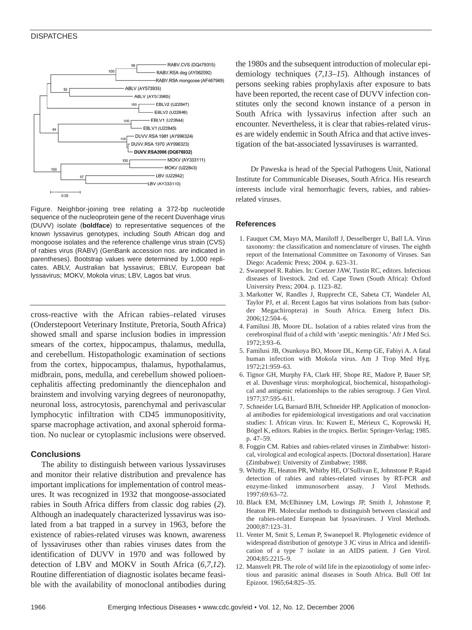### **DISPATCHES**



Figure. Neighbor-joining tree relating a 372-bp nucleotide sequence of the nucleoprotein gene of the recent Duvenhage virus (DUVV) isolate (**boldface**) to representative sequences of the known lyssavirus genotypes, including South African dog and mongoose isolates and the reference challenge virus strain (CVS) of rabies virus (RABV) (GenBank accession nos. are indicated in parentheses). Bootstrap values were determined by 1,000 replicates. ABLV, Australian bat lyssavirus; EBLV, European bat lyssavirus; MOKV, Mokola virus; LBV, Lagos bat virus.

cross-reactive with the African rabies–related viruses (Onderstepoort Veterinary Institute, Pretoria, South Africa) showed small and sparse inclusion bodies in impression smears of the cortex, hippocampus, thalamus, medulla, and cerebellum. Histopathologic examination of sections from the cortex, hippocampus, thalamus, hypothalamus, midbrain, pons, medulla, and cerebellum showed polioencephalitis affecting predominantly the diencephalon and brainstem and involving varying degrees of neuronopathy, neuronal loss, astrocytosis, parenchymal and perivascular lymphocytic infiltration with CD45 immunopositivity, sparse macrophage activation, and axonal spheroid formation. No nuclear or cytoplasmic inclusions were observed.

#### **Conclusions**

The ability to distinguish between various lyssaviruses and monitor their relative distribution and prevalence has important implications for implementation of control measures. It was recognized in 1932 that mongoose-associated rabies in South Africa differs from classic dog rabies (*2*). Although an inadequately characterized lyssavirus was isolated from a bat trapped in a survey in 1963, before the existence of rabies-related viruses was known, awareness of lyssaviruses other than rabies viruses dates from the identification of DUVV in 1970 and was followed by detection of LBV and MOKV in South Africa (*6,7,12*). Routine differentiation of diagnostic isolates became feasible with the availability of monoclonal antibodies during

the 1980s and the subsequent introduction of molecular epidemiology techniques (*7,13*–*15*). Although instances of persons seeking rabies prophylaxis after exposure to bats have been reported, the recent case of DUVV infection constitutes only the second known instance of a person in South Africa with lyssavirus infection after such an encounter. Nevertheless, it is clear that rabies-related viruses are widely endemic in South Africa and that active investigation of the bat-associated lyssaviruses is warranted.

Dr Paweska is head of the Special Pathogens Unit, National Institute for Communicable Diseases, South Africa. His research interests include viral hemorrhagic fevers, rabies, and rabiesrelated viruses.

#### **References**

- 1. Fauquet CM, Mayo MA, Maniloff J, Desselberger U, Ball LA. Virus taxonomy: the classification and nomenclature of viruses. The eighth report of the International Committee on Taxonomy of Viruses. San Diego: Academic Press; 2004. p. 623–31.
- 2. Swanepoel R. Rabies. In: Coetzer JAW, Tustin RC, editors. Infectious diseases of livestock. 2nd ed. Cape Town (South Africa): Oxford University Press; 2004. p. 1123–82.
- 3. Markotter W, Randles J, Rupprecht CE, Sabeta CT, Wandeler AI, Taylor PJ, et al. Recent Lagos bat virus isolations from bats (suborder Megachiroptera) in South Africa. Emerg Infect Dis. 2006;12:504–6.
- 4. Familusi JB, Moore DL. Isolation of a rabies related virus from the cerebrospinal fluid of a child with 'aseptic meningitis.'Afr J Med Sci. 1972;3:93–6.
- 5. Familusi JB, Osunkoya BO, Moore DL, Kemp GE, Fabiyi A. A fatal human infection with Mokola virus. Am J Trop Med Hyg. 1972;21:959–63.
- 6. Tignor GH, Murphy FA, Clark HF, Shope RE, Madore P, Bauer SP, et al. Duvenhage virus: morphological, biochemical, histopathological and antigenic relationships to the rabies serogroup. J Gen Virol. 1977;37:595–611.
- 7. Schneider LG, Barnard BJH, Schneider HP. Application of monoclonal antibodies for epidemiological investigations and oral vaccination studies: I. African virus. In: Kuwert E, Mérieux C, Koprowski H, Bögel K, editors. Rabies in the tropics. Berlin: Springer-Verlag; 1985. p. 47–59.
- 8. Foggin CM. Rabies and rabies-related viruses in Zimbabwe: historical, virological and ecological aspects. [Doctoral dissertation]. Harare (Zimbabwe): University of Zimbabwe; 1988.
- 9. Whitby JE, Heaton PR, Whitby HE, O'Sullivan E, Johnstone P. Rapid detection of rabies and rabies-related viruses by RT-PCR and enzyme-linked immunosorbent assay. J Virol Methods. 1997;69:63–72.
- 10. Black EM, McElhinney LM, Lowings JP, Smith J, Johnstone P, Heaton PR. Molecular methods to distinguish between classical and the rabies-related European bat lyssaviruses. J Virol Methods. 2000;87:123–31.
- 11. Venter M, Smit S, Leman P, Swanepoel R. Phylogenetic evidence of widespread distribution of genotype 3 JC virus in Africa and identification of a type 7 isolate in an AIDS patient. J Gen Virol. 2004;85:2215–9.
- 12. Mansvelt PR. The role of wild life in the epizootiology of some infectious and parasitic animal diseases in South Africa. Bull Off Int Epizoot. 1965;64:825–35.